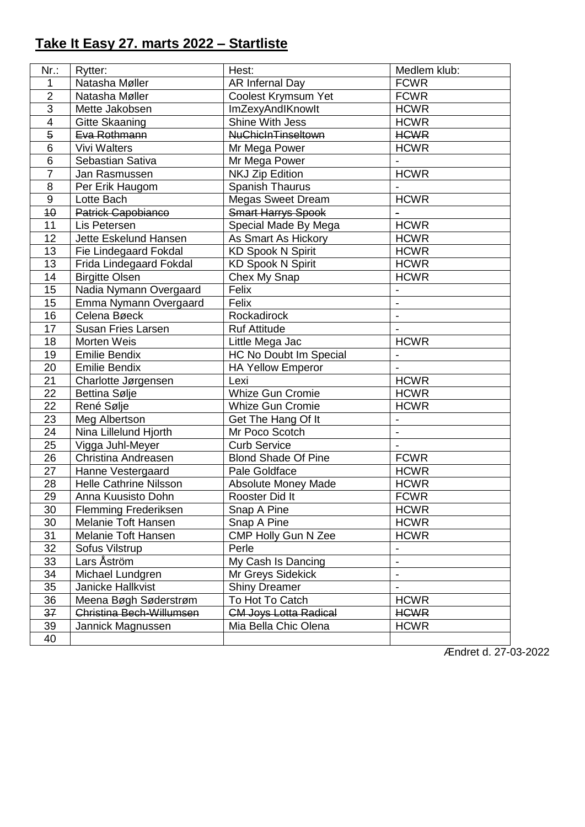# **Take It Easy 27. marts 2022 – Startliste**

| Nr:                     | Rytter:                       | Hest:                        | Medlem klub:             |
|-------------------------|-------------------------------|------------------------------|--------------------------|
| 1                       | Natasha Møller                | AR Infernal Day              | <b>FCWR</b>              |
| $\overline{2}$          | Natasha Møller                | Coolest Krymsum Yet          | <b>FCWR</b>              |
| $\overline{3}$          | Mette Jakobsen                | ImZexyAndIKnowlt             | <b>HCWR</b>              |
| $\overline{\mathbf{4}}$ | <b>Gitte Skaaning</b>         | Shine With Jess              | <b>HCWR</b>              |
| $\overline{5}$          | Eva Rothmann                  | <b>NuChicInTinseltown</b>    | <b>HCWR</b>              |
| 6                       | <b>Vivi Walters</b>           | Mr Mega Power                | <b>HCWR</b>              |
| $6\phantom{1}6$         | Sebastian Sativa              | Mr Mega Power                |                          |
| $\overline{7}$          | Jan Rasmussen                 | NKJ Zip Edition              | <b>HCWR</b>              |
| 8                       | Per Erik Haugom               | <b>Spanish Thaurus</b>       |                          |
| $\boldsymbol{9}$        | Lotte Bach                    | <b>Megas Sweet Dream</b>     | <b>HCWR</b>              |
| 10                      | Patrick Capobianco            | <b>Smart Harrys Spook</b>    |                          |
| 11                      | Lis Petersen                  | Special Made By Mega         | <b>HCWR</b>              |
| 12                      | Jette Eskelund Hansen         | As Smart As Hickory          | <b>HCWR</b>              |
| 13                      | Fie Lindegaard Fokdal         | <b>KD Spook N Spirit</b>     | <b>HCWR</b>              |
| 13                      | Frida Lindegaard Fokdal       | KD Spook N Spirit            | <b>HCWR</b>              |
| 14                      | <b>Birgitte Olsen</b>         | Chex My Snap                 | <b>HCWR</b>              |
| 15                      | Nadia Nymann Overgaard        | Felix                        |                          |
| 15                      | Emma Nymann Overgaard         | Felix                        |                          |
| 16                      | Celena Bøeck                  | Rockadirock                  |                          |
| 17                      | <b>Susan Fries Larsen</b>     | <b>Ruf Attitude</b>          |                          |
| 18                      | Morten Weis                   | Little Mega Jac              | <b>HCWR</b>              |
| 19                      | <b>Emilie Bendix</b>          | HC No Doubt Im Special       |                          |
| 20                      | <b>Emilie Bendix</b>          | HA Yellow Emperor            |                          |
| 21                      | Charlotte Jørgensen           | Lexi                         | <b>HCWR</b>              |
| 22                      | Bettina Sølje                 | <b>Whize Gun Cromie</b>      | <b>HCWR</b>              |
| 22                      | René Sølje                    | <b>Whize Gun Cromie</b>      | <b>HCWR</b>              |
| 23                      | Meg Albertson                 | Get The Hang Of It           |                          |
| 24                      | Nina Lillelund Hjorth         | Mr Poco Scotch               |                          |
| 25                      | Vigga Juhl-Meyer              | <b>Curb Service</b>          |                          |
| 26                      | Christina Andreasen           | <b>Blond Shade Of Pine</b>   | <b>FCWR</b>              |
| 27                      | Hanne Vestergaard             | Pale Goldface                | <b>HCWR</b>              |
| 28                      | <b>Helle Cathrine Nilsson</b> | <b>Absolute Money Made</b>   | <b>HCWR</b>              |
| 29                      | Anna Kuusisto Dohn            | Rooster Did It               | <b>FCWR</b>              |
| 30                      | <b>Flemming Frederiksen</b>   | Snap A Pine                  | <b>HCWR</b>              |
| 30                      | Melanie Toft Hansen           | Snap A Pine                  | <b>HCWR</b>              |
| 31                      | Melanie Toft Hansen           | <b>CMP Holly Gun N Zee</b>   | <b>HCWR</b>              |
| 32                      | Sofus Vilstrup                | Perle                        |                          |
| 33                      | Lars Åström                   | My Cash Is Dancing           | $\overline{\phantom{a}}$ |
| 34                      | Michael Lundgren              | Mr Greys Sidekick            |                          |
| 35                      | Janicke Hallkvist             | <b>Shiny Dreamer</b>         |                          |
| 36                      | Meena Bøgh Søderstrøm         | To Hot To Catch              | <b>HCWR</b>              |
| 37                      | Christina Bech-Willumsen      | <b>CM Joys Lotta Radical</b> | <b>HCWR</b>              |
| 39                      | Jannick Magnussen             | Mia Bella Chic Olena         | <b>HCWR</b>              |
| 40                      |                               |                              |                          |

Ændret d. 27-03-2022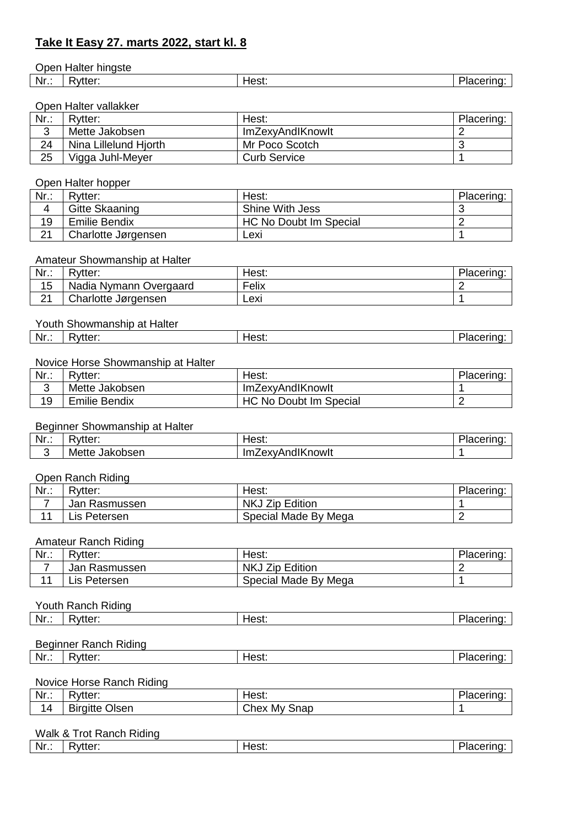# **Take It Easy 27. marts 2022, start kl. 8**

# Open Halter hingste

| Nr. | "Vitt⊷<br>__ | $-$<br>Hest: |  |
|-----|--------------|--------------|--|
|     |              |              |  |

# Open Halter vallakker

| Nr:    | Rytter:               | Hest:               | Placering: |
|--------|-----------------------|---------------------|------------|
| ົ<br>ٽ | Mette Jakobsen        | ImZexvAndIKnowlt    |            |
| 24     | Nina Lillelund Hiorth | Mr Poco Scotch      |            |
| 25     | Vigga Juhl-Meyer      | <b>Curb Service</b> |            |

## Open Halter hopper

| $Nr$ : | Rytter:              | Hest:                         | Placering: |
|--------|----------------------|-------------------------------|------------|
|        | Gitte Skaaning       | <b>Shine With Jess</b>        |            |
| 19     | <b>Emilie Bendix</b> | <b>HC No Doubt Im Special</b> |            |
| ົາ 1   | Charlotte Jørgensen  | -exi                          |            |

#### Amateur Showmanship at Halter

| $Nr$ : | Rytter:                | Hest: | Placering: |
|--------|------------------------|-------|------------|
| 15     | Nadia Nymann Overgaard | Felix |            |
| ິ      | Charlotte Jørgensen    | Lexi  |            |

# Youth Showmanship at Halter

| $Nr$ : | .<br>'VITAI | 'Hest: |  |
|--------|-------------|--------|--|
|        |             |        |  |

# Novice Horse Showmanship at Halter

| Nr: | Rytter:              | Hest:                   | Placering: |
|-----|----------------------|-------------------------|------------|
|     | Mette Jakobsen       | <b>ImZexyAndIKnowlt</b> |            |
| 19  | <b>Emilie Bendix</b> | HC No Doubt Im Special  |            |

# Beginner Showmanship at Halter

| $Nr$ : | $1 + 1 - 1$<br>≏ו<br>vı<br>. ושו | $H\Delta$ ction $H$<br>ר⊎ט.                                               | iauti<br>. . |
|--------|----------------------------------|---------------------------------------------------------------------------|--------------|
|        | Mette<br>kobsen<br>Jak           | م الله .<br>יי<br>`nowIt<br>∠exv<br>אור<br>11 O<br>11 I Z<br>$M$ $A$<br>u |              |

# Open Ranch Riding

| $Nr$ : | Rytter:       | Hest:                  | Placering: |
|--------|---------------|------------------------|------------|
|        | Jan Rasmussen | <b>NKJ Zip Edition</b> |            |
| 11     | Lis Petersen  | Special Made By Mega   |            |

# Amateur Ranch Riding

| $Nr$ : | .vtter:       | Hest:                  | Placering: |
|--------|---------------|------------------------|------------|
|        | Jan Rasmussen | <b>NKJ Zip Edition</b> |            |
|        | Lis Petersen  | Special Made By Mega   |            |

#### Youth Ranch Riding

| Nr.: | -<br>.vtter: | Hest: | -<br>.<br>. |
|------|--------------|-------|-------------|
|      |              |       |             |

# Beginner Ranch Riding

| <b>Beginner</b><br>$-0.05$<br>ıdın a<br>анст<br>ாட |            |       |     |  |
|----------------------------------------------------|------------|-------|-----|--|
| $Nr$ .:                                            | $  -$<br>e | Hest: | . . |  |
|                                                    |            |       |     |  |

# Novice Horse Ranch Riding **Novice Horse Ranch Riding**

| $Nr.$ : | tter:                          | Hest:               | $\sim$<br>י וג |
|---------|--------------------------------|---------------------|----------------|
| 14      | - -<br>ിsen<br><b>Birditte</b> | Snap<br>Chex<br>Mv. |                |

#### Walk & Trot Ranch Riding

| $Nr$ : | :vtter: | ് പ്രറ*്<br>1051. | $\sim$ $\sim$ $\sim$ $\sim$<br>. |
|--------|---------|-------------------|----------------------------------|
|        |         |                   |                                  |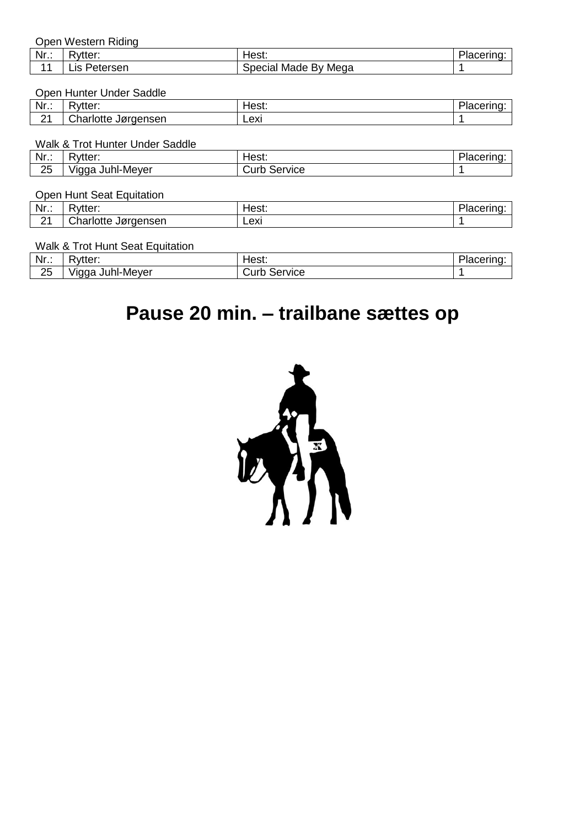Open Western Riding

| Nr.: |                     | ⊣oct<br>ט טו.                            | ugiliu. |
|------|---------------------|------------------------------------------|---------|
|      | ersen<br>$\epsilon$ | Mega<br>вv<br>⊇∩cia∟<br>Made<br>-<br>- - |         |

Open Hunter Under Saddle

| $Nr$ :   | .<br>τνιιθι.                               | ۱۸۴۰۰<br>1051. | ਾਸ⊞।ਪਰ |
|----------|--------------------------------------------|----------------|--------|
| ◠<br>- - | <b>__</b><br>aensen<br>JØr<br>ત્રાલ<br>лык | Lexi           |        |

# Walk & Trot Hunter Under Saddle

| Nr          | $-1$                              | -lest:                            | È  |
|-------------|-----------------------------------|-----------------------------------|----|
| <b>TI.L</b> | . וטו                             |                                   | ıя |
| つに<br>∠     | <br>Juhl-Mever<br>.<br>vinc<br>ັບ | הומוני<br>"VICE<br>∺י<br>Ju<br>ີ້ |    |

# Open Hunt Seat Equitation

| Nr<br>.       | tter:             | lest: | ⊷ |
|---------------|-------------------|-------|---|
| ິ<br><u>.</u> | Jørgensen<br>тюце | Lexi  |   |

# Walk & Trot Hunt Seat Equitation

| $Nr$ :   | D.                            | adot∴           | $\sim$     |
|----------|-------------------------------|-----------------|------------|
|          | $\overline{\phantom{a}}$      | – –             | - - - -    |
|          | ∀tter:                        | 1051.           | ⊺ia∪UIIIu. |
| つら<br>∠◡ | .<br>Vidda<br>Juhl-Meyer<br>ັ | oervice<br>Curb |            |

# **Pause 20 min. – trailbane sættes op**

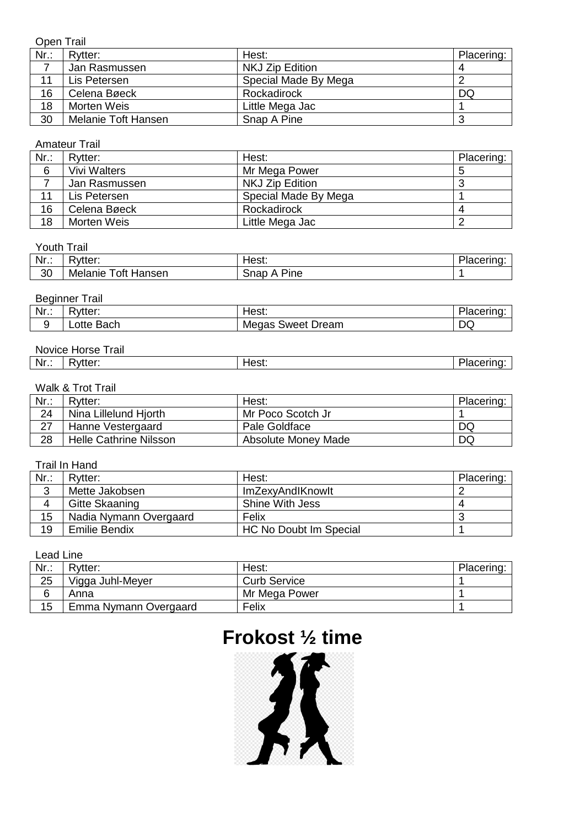| Open Trail |  |
|------------|--|
|            |  |

| $Nr.$ : | Rytter:                    | Hest:                  | Placering: |
|---------|----------------------------|------------------------|------------|
|         | Jan Rasmussen              | <b>NKJ Zip Edition</b> | 4          |
| 11      | Lis Petersen               | Special Made By Mega   |            |
| 16      | Celena Bøeck               | Rockadirock            | DQ         |
| 18      | Morten Weis                | Little Mega Jac        |            |
| 30      | <b>Melanie Toft Hansen</b> | Snap A Pine            | ◠<br>×.    |

# Amateur Trail

| Nr: | Rytter:             | Hest:                  | Placering: |
|-----|---------------------|------------------------|------------|
| 6   | <b>Vivi Walters</b> | Mr Mega Power          |            |
|     | Jan Rasmussen       | <b>NKJ Zip Edition</b> |            |
|     | Lis Petersen        | Special Made By Mega   |            |
| 16  | Celena Bøeck        | Rockadirock            |            |
| 18  | Morten Weis         | Little Mega Jac        |            |

# Youth Trail

| $Nr$ :       | .<br>∵vuer.                              | ا عما<br>1051.                                          | . |
|--------------|------------------------------------------|---------------------------------------------------------|---|
| $\sim$<br>ა∪ | ⊥oft <sup>µ</sup> '<br>Melanie<br>Hansen | $\overline{\phantom{a}}$<br>'ine<br>$\sim$ 11 Km $\sim$ |   |

# Beginner Trail

| Nr. | ,,,,,,,<br>‴uer. | -lest:                              | -- |
|-----|------------------|-------------------------------------|----|
| ັ   | Bach<br>Lotte    | Dream<br>sweet<br>-<br><b>Medas</b> | DQ |

# Novice Horse Trail

|  | Nr. | 111 |  |  |
|--|-----|-----|--|--|
|--|-----|-----|--|--|

# Walk & Trot Trail

| $Nr.$ : | Rytter:                       | Hest:                      | Placering: |
|---------|-------------------------------|----------------------------|------------|
| 24      | Nina Lillelund Hiorth         | Mr Poco Scotch Jr          |            |
| ^7      | Hanne Vestergaard             | <b>Pale Goldface</b>       | DQ         |
| 28      | <b>Helle Cathrine Nilsson</b> | <b>Absolute Money Made</b> | DQ         |

# Trail In Hand

| $Nr$ :      | Rytter:                | Hest:                   | Placering: |
|-------------|------------------------|-------------------------|------------|
| $\sim$<br>ີ | Mette Jakobsen         | <b>ImZexyAndIKnowlt</b> |            |
| 4           | Gitte Skaaning         | <b>Shine With Jess</b>  |            |
| 15          | Nadia Nymann Overgaard | Felix                   |            |
| 19          | <b>Emilie Bendix</b>   | HC No Doubt Im Special  |            |

# Lead Line

| Nr: | Rytter:               | Hest:               | Placering: |
|-----|-----------------------|---------------------|------------|
| 25  | Vigga Juhl-Meyer      | <b>Curb Service</b> |            |
| 6   | Anna                  | Mr Mega Power       |            |
| 15  | Emma Nymann Overgaard | Felix               |            |

# **Frokost ½ time**

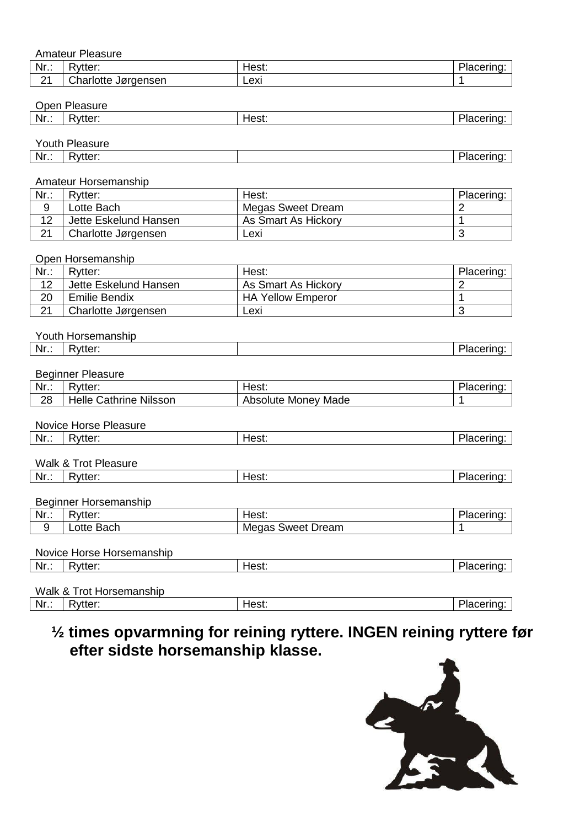Amateur Pleasure

| $Nr$ :        | -<br>. vtter:<br>.           | $100 +$<br>ט טו. |  |
|---------------|------------------------------|------------------|--|
| $\sim$<br>- - | aensen<br>JØľ<br>,,,,<br>. . | Lexi             |  |

## Open Pleasure

| $Nr$ : | 'vtter: | -lest: | n'<br>ъ |
|--------|---------|--------|---------|
|        |         |        |         |

| Youth.  | Pleasure |                      |
|---------|----------|----------------------|
| $Nr.$ : | 'vtter:  | <b>I</b> dcenii<br>. |

# Amateur Horsemanship

| Nr:  | Rytter:               | Hest:               | Placering: |
|------|-----------------------|---------------------|------------|
|      | Lotte Bach            | Megas Sweet Dream   |            |
| 12   | Jette Eskelund Hansen | As Smart As Hickory |            |
| ົາ 1 | Charlotte Jørgensen   | _exi                |            |

#### Open Horsemanship

| $Nr$ :   | Rytter:               | Hest:                    | Placering: |
|----------|-----------------------|--------------------------|------------|
| 12       | Jette Eskelund Hansen | As Smart As Hickory      |            |
| 20       | <b>Emilie Bendix</b>  | <b>HA Yellow Emperor</b> |            |
| $\Omega$ | Charlotte Jørgensen   | _exi                     |            |

# Youth Horsemanship

| Nr | $\cdots$ , $\cdots$<br>≧νττ∈. | . .<br>$\sim$ |
|----|-------------------------------|---------------|
|    |                               |               |

# Beginner Pleasure

| $Nr$ : |                           | ⊣octr<br>טסו.             | . |
|--------|---------------------------|---------------------------|---|
| 28     | Cathrine Nilsson<br>Helle | Made<br>Monev<br>Absolute |   |

# Novice Horse Pleasure

| Nr.: | .<br>″vπer.<br>$\sim$ $\sim$ | Hest:<br>____ | -<br>$- - -$<br>. .<br><br>____ |
|------|------------------------------|---------------|---------------------------------|
|      |                              |               |                                 |

| w       | r∩t<br>.<br>$\sim$<br>. |       |  |
|---------|-------------------------|-------|--|
| $Nr.$ : | .                       | lest: |  |

# Beginner Horsemanship

| $Nr$ : | .⁄itar:      | Hest:                           |  |
|--------|--------------|---------------------------------|--|
| ັ      | otte<br>Bach | <b>Jream</b><br>sweet.<br>Megas |  |

|         | Novice Horse Horsemanship  |       |            |
|---------|----------------------------|-------|------------|
| $Nr.$ : | Rytter:                    | Hest: | Placering: |
|         |                            |       |            |
|         | Walk & Trot Horsemanship   |       |            |
|         | $Nr.: \vert Rytter: \vert$ | Hest: | Placering: |

# **½ times opvarmning for reining ryttere. INGEN reining ryttere før efter sidste horsemanship klasse.**

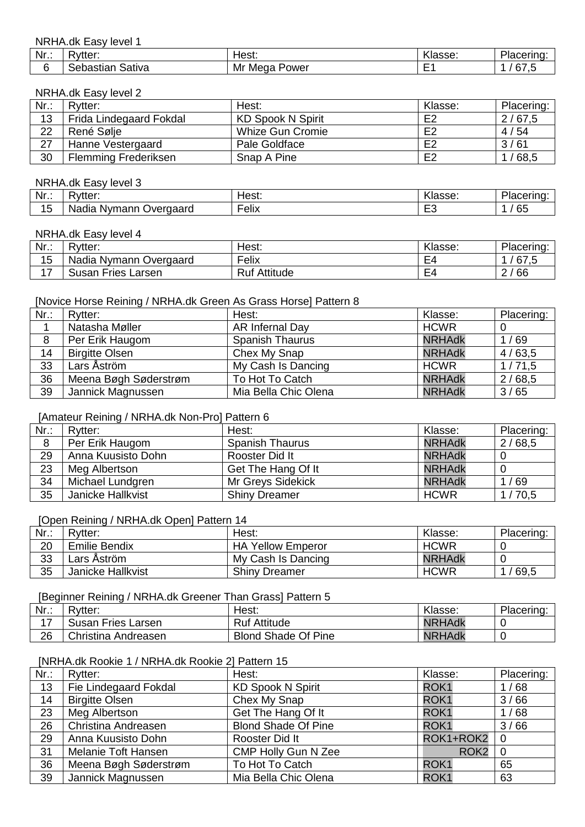NRHA.dk Easy level 1

| $Nr$ : | -<br>'vtter:                       | Hest:                    | $\overline{1}$<br>IOROR<br>Naddo. | וכו<br>$\sim$ $\sim$ n $\sim$<br>ાતા<br>'UUIIIU |
|--------|------------------------------------|--------------------------|-----------------------------------|-------------------------------------------------|
|        | .<br>$\sim$<br>Sativa<br>ebastiarد | -<br>Power<br>Mr<br>Meaa |                                   | -67<br>v,                                       |

# NRHA.dk Easy level 2

| $Nr.$ : | Rytter:                 | Hest:                    | Klasse:        | Placering: |
|---------|-------------------------|--------------------------|----------------|------------|
| 13      | Frida Lindegaard Fokdal | <b>KD Spook N Spirit</b> | E <sub>2</sub> | 2/67,5     |
| 22      | René Sølje              | <b>Whize Gun Cromie</b>  | E <sub>2</sub> | 4/54       |
| 27      | Hanne Vestergaard       | Pale Goldface            | E <sub>2</sub> | 3/61       |
| 30      | Flemming Frederiksen    | Snap A Pine              | E <sub>2</sub> | /68,5      |

#### NRHA.dk Easy level 3

| $Nr_{\cdots}$ | ⁄tter:                              | Hest:                                         | $\mathcal{L}^*$<br>10000<br>vidoot. | D)<br>nacennu |
|---------------|-------------------------------------|-----------------------------------------------|-------------------------------------|---------------|
| $\mathbf{r}$  | <b>Jvergaard</b><br>Nadia<br>Nvmann | $\cdots$<br>$\overline{\phantom{0}}$<br>∙elix | $\overline{ }$<br>-<br>∼∟           | 65            |

# NRHA.dk Easy level 4

| $Nr$ .: | Rytter:                          | Hest:           | Klasse:           | Placering:        |
|---------|----------------------------------|-----------------|-------------------|-------------------|
| 15      | Nadia Nymann Overgaard           | Felix           | −<br>$-$<br>- E - | 67,5              |
| —       | <b>Fries</b><br>Susanl<br>Larsen | Attitude<br>Ruf | −<br><u>ь</u>     | 66<br>$\sim$<br>▃ |

# [Novice Horse Reining / NRHA.dk Green As Grass Horse] Pattern 8

| $Nr.$ : | Rytter:               | Hest:                  | Klasse:       | Placering: |
|---------|-----------------------|------------------------|---------------|------------|
|         | Natasha Møller        | AR Infernal Day        | <b>HCWR</b>   |            |
| 8       | Per Erik Haugom       | <b>Spanish Thaurus</b> | <b>NRHAdk</b> | /69        |
| 14      | <b>Birgitte Olsen</b> | Chex My Snap           | <b>NRHAdk</b> | 4/63,5     |
| 33      | Lars Åström           | My Cash Is Dancing     | <b>HCWR</b>   | 1/71,5     |
| 36      | Meena Bøgh Søderstrøm | To Hot To Catch        | <b>NRHAdk</b> | 2/68,5     |
| 39      | Jannick Magnussen     | Mia Bella Chic Olena   | <b>NRHAdk</b> | 3/65       |

# [Amateur Reining / NRHA.dk Non-Pro] Pattern 6

| $Nr$ : | Rytter:                  | Hest:                    | Klasse:       | Placering: |
|--------|--------------------------|--------------------------|---------------|------------|
| 8      | Per Erik Haugom          | <b>Spanish Thaurus</b>   | <b>NRHAdk</b> | 2/68,5     |
| 29     | Anna Kuusisto Dohn       | Rooster Did It           | <b>NRHAdk</b> |            |
| 23     | Meg Albertson            | Get The Hang Of It       | <b>NRHAdk</b> |            |
| 34     | Michael Lundgren         | <b>Mr Greys Sidekick</b> | <b>NRHAdk</b> | 1/69       |
| 35     | <b>Janicke Hallkvist</b> | <b>Shiny Dreamer</b>     | <b>HCWR</b>   | 1/70,5     |

#### [Open Reining / NRHA.dk Open] Pattern 14

| Nr: | Rytter:              | Hest:                    | Klasse:       | Placering: |
|-----|----------------------|--------------------------|---------------|------------|
| 20  | <b>Emilie Bendix</b> | <b>HA Yellow Emperor</b> | <b>HCWR</b>   |            |
| 33  | Lars Aström.         | My Cash Is Dancing       | <b>NRHAdk</b> |            |
| 35  | Janicke Hallkvist    | <b>Shiny Dreamer</b>     | <b>HCWR</b>   | 69.5       |

# [Beginner Reining / NRHA.dk Greener Than Grass] Pattern 5

| $Nr$ : | Rytter:                   | Hest:                      | Klasse:       | Placering: |
|--------|---------------------------|----------------------------|---------------|------------|
| . –    | <b>Susan Fries Larsen</b> | <b>Ruf Attitude</b>        | <b>NRHAdk</b> |            |
| 26     | Christina Andreasen       | <b>Blond Shade Of Pine</b> | <b>NRHAdk</b> |            |

# [NRHA.dk Rookie 1 / NRHA.dk Rookie 2] Pattern 15

| $Nr.$ : | Rytter:               | Hest:                      | Klasse:          | Placering: |
|---------|-----------------------|----------------------------|------------------|------------|
| 13      | Fie Lindegaard Fokdal | <b>KD Spook N Spirit</b>   | ROK <sub>1</sub> | 1/68       |
| 14      | <b>Birgitte Olsen</b> | Chex My Snap               | ROK <sub>1</sub> | 3/66       |
| 23      | Meg Albertson         | Get The Hang Of It         | ROK <sub>1</sub> | 1/68       |
| 26      | Christina Andreasen   | <b>Blond Shade Of Pine</b> | ROK <sub>1</sub> | 3/66       |
| 29      | Anna Kuusisto Dohn    | Rooster Did It             | ROK1+ROK2        | . O        |
| 31      | Melanie Toft Hansen   | CMP Holly Gun N Zee        | ROK <sub>2</sub> | -0         |
| 36      | Meena Bøgh Søderstrøm | To Hot To Catch            | ROK <sub>1</sub> | 65         |
| 39      | Jannick Magnussen     | Mia Bella Chic Olena       | ROK <sub>1</sub> | 63         |